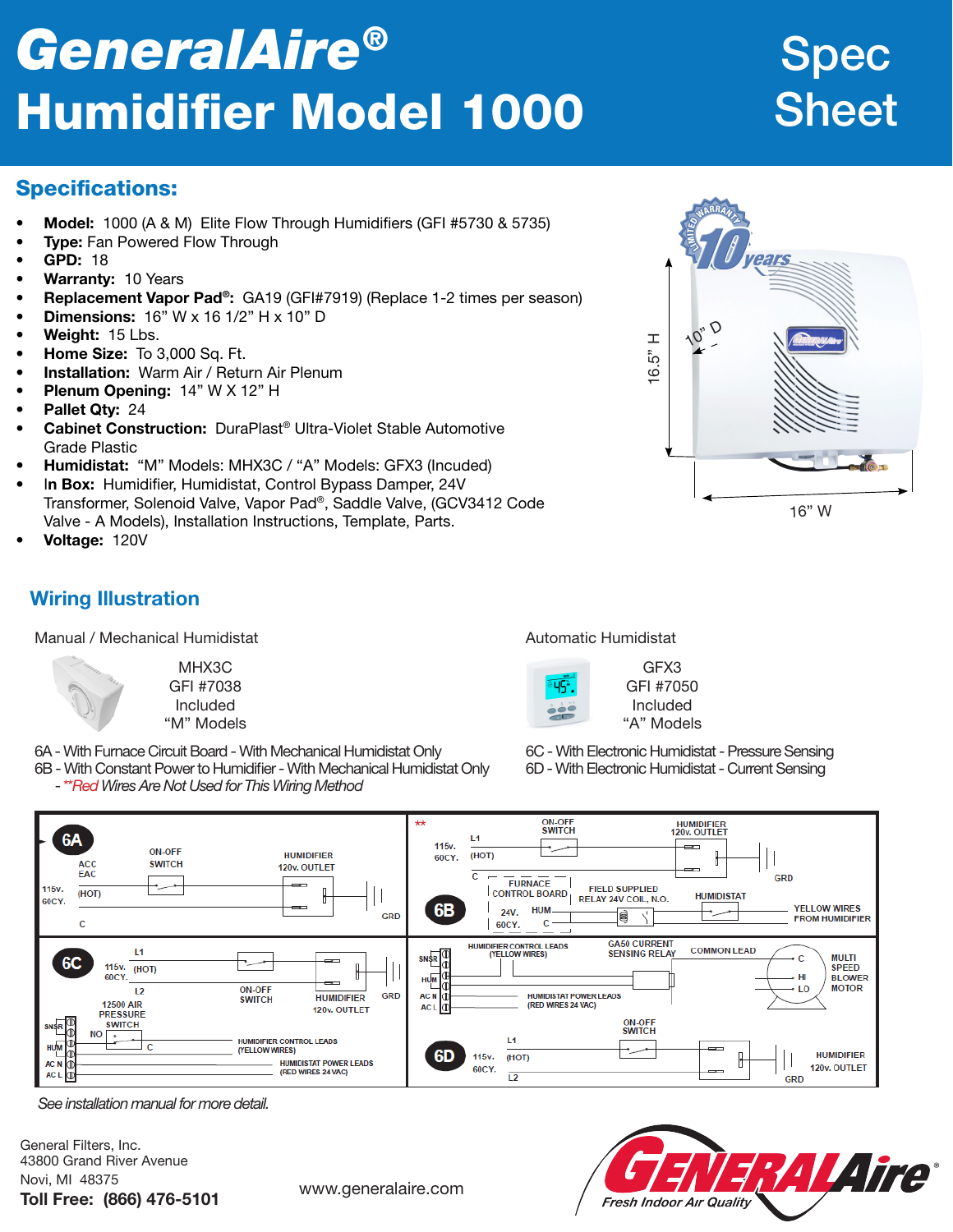# *GeneralAire®* Humidifier Model 1000

## Spec **Sheet**

16" W

#### Specifications:

- Model: 1000 (A & M) Elite Flow Through Humidifiers (GFI #5730 & 5735)
- **Type: Fan Powered Flow Through**
- GPD: 18
- Warranty: 10 Years
- Replacement Vapor Pad®: GA19 (GFI#7919) (Replace 1-2 times per season)
- **Dimensions:**  $16"$  W x  $16$   $1/2"$  H x  $10"$  D
- Weight: 15 Lbs.
- Home Size: To 3,000 Sq. Ft.
- Installation: Warm Air / Return Air Plenum
- Plenum Opening: 14" W X 12" H
- Pallet Qtv: 24
- **Cabinet Construction:** DuraPlast<sup>®</sup> Ultra-Violet Stable Automotive Grade Plastic
- Humidistat: "M" Models: MHX3C / "A" Models: GFX3 (Incuded)
- In Box: Humidifier, Humidistat, Control Bypass Damper, 24V Transformer, Solenoid Valve, Vapor Pad®, Saddle Valve, (GCV3412 Code Valve - A Models), Installation Instructions, Template, Parts.
- Voltage: 120V

### Wiring Illustration

Manual / Mechanical Humidistat Automatic Humidistat Automatic Humidistat

MHX3C GFI #7038 Included "M" Models

6A - With Furnace Circuit Board - With Mechanical Humidistat Only

6B - With Constant Power to Humidifier - With Mechanical Humidistat Only - \*\**Red Wires Are Not Used for This Wiring Method*



GFX3 GFI #7050 Included "A" Models

 $6.5"$  H

 $Q_{\scriptscriptstyle\lambda}$ 

6C - With Electronic Humidistat - Pressure Sensing 6D - With Electronic Humidistat - Current Sensing



*See installation manual for more detail.*

General Filters, Inc. 43800 Grand River Avenue Novi, MI 48375 Toll Free: (866) 476-5101 www.generalaire.com